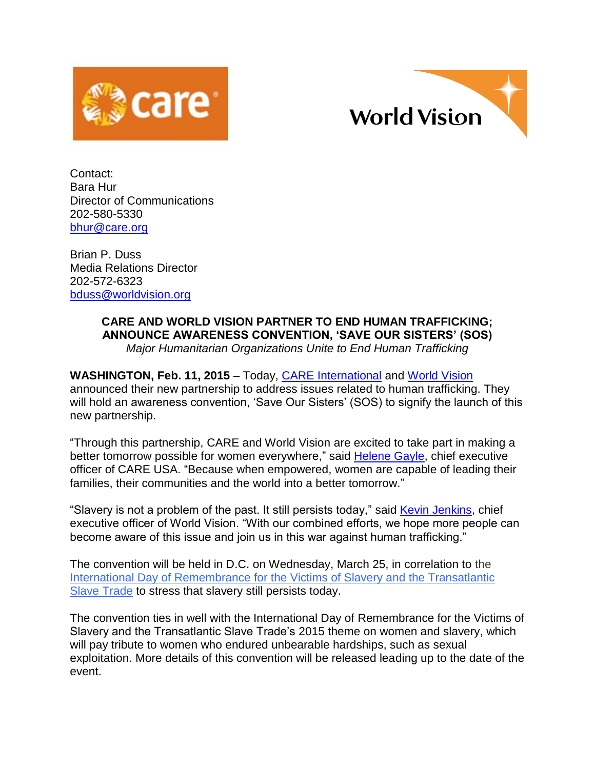



Contact: Bara Hur Director of Communications 202-580-5330 [bhur@care.org](mailto:bhur@care.org)

Brian P. Duss Media Relations Director 202-572-6323 [bduss@worldvision.org](mailto:bduss@worldvision.org)

## **CARE AND WORLD VISION PARTNER TO END HUMAN TRAFFICKING; ANNOUNCE AWARENESS CONVENTION, 'SAVE OUR SISTERS' (SOS)** *Major Humanitarian Organizations Unite to End Human Trafficking*

**WASHINGTON, Feb. 11, 2015** – Today, [CARE International](http://care.org/) and [World Vision](http://www.worldvision.org/about-us) announced their new partnership to address issues related to human trafficking. They will hold an awareness convention, 'Save Our Sisters' (SOS) to signify the launch of this new partnership.

"Through this partnership, CARE and World Vision are excited to take part in making a better tomorrow possible for women everywhere," said **Helene Gayle**, chief executive officer of CARE USA. "Because when empowered, women are capable of leading their families, their communities and the world into a better tomorrow."

"Slavery is not a problem of the past. It still persists today," said [Kevin Jenkins,](http://www.wvi.org/president/meet-kevin-jenkins) chief executive officer of World Vision. "With our combined efforts, we hope more people can become aware of this issue and join us in this war against human trafficking."

The convention will be held in D.C. on Wednesday, March 25, in correlation to the [International Day of Remembrance for the Victims of Slavery and the Transatlantic](http://www.un.org/en/events/slaveryremembranceday/)  [Slave Trade](http://www.un.org/en/events/slaveryremembranceday/) to stress that slavery still persists today.

The convention ties in well with the International Day of Remembrance for the Victims of Slavery and the Transatlantic Slave Trade's 2015 theme on women and slavery, which will pay tribute to women who endured unbearable hardships, such as sexual exploitation. More details of this convention will be released leading up to the date of the event.